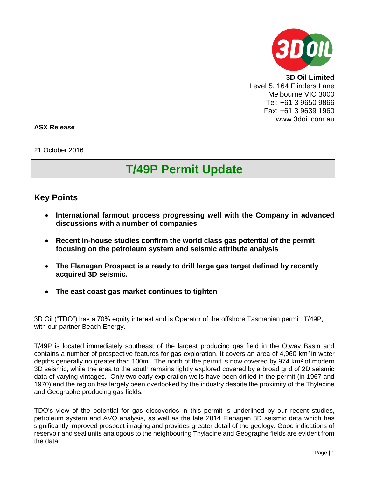

**3D Oil Limited** Level 5, 164 Flinders Lane Melbourne VIC 3000 Tel: +61 3 9650 9866 Fax: +61 3 9639 1960 www.3doil.com.au

## **ASX Release**

21 October 2016

## **T/49P Permit Update**

## **Key Points**

- **International farmout process progressing well with the Company in advanced discussions with a number of companies**
- **Recent in-house studies confirm the world class gas potential of the permit focusing on the petroleum system and seismic attribute analysis**
- **The Flanagan Prospect is a ready to drill large gas target defined by recently acquired 3D seismic.**
- **The east coast gas market continues to tighten**

3D Oil ("TDO") has a 70% equity interest and is Operator of the offshore Tasmanian permit, T/49P, with our partner Beach Energy.

T/49P is located immediately southeast of the largest producing gas field in the Otway Basin and contains a number of prospective features for gas exploration. It covers an area of  $4.960 \text{ km}^2$  in water depths generally no greater than 100m. The north of the permit is now covered by 974 km<sup>2</sup> of modern 3D seismic, while the area to the south remains lightly explored covered by a broad grid of 2D seismic data of varying vintages. Only two early exploration wells have been drilled in the permit (in 1967 and 1970) and the region has largely been overlooked by the industry despite the proximity of the Thylacine and Geographe producing gas fields.

TDO's view of the potential for gas discoveries in this permit is underlined by our recent studies, petroleum system and AVO analysis, as well as the late 2014 Flanagan 3D seismic data which has significantly improved prospect imaging and provides greater detail of the geology. Good indications of reservoir and seal units analogous to the neighbouring Thylacine and Geographe fields are evident from the data.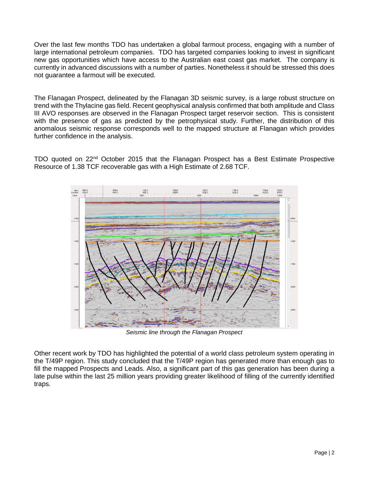Over the last few months TDO has undertaken a global farmout process, engaging with a number of large international petroleum companies. TDO has targeted companies looking to invest in significant new gas opportunities which have access to the Australian east coast gas market. The company is currently in advanced discussions with a number of parties. Nonetheless it should be stressed this does not guarantee a farmout will be executed.

The Flanagan Prospect, delineated by the Flanagan 3D seismic survey, is a large robust structure on trend with the Thylacine gas field. Recent geophysical analysis confirmed that both amplitude and Class III AVO responses are observed in the Flanagan Prospect target reservoir section. This is consistent with the presence of gas as predicted by the petrophysical study. Further, the distribution of this anomalous seismic response corresponds well to the mapped structure at Flanagan which provides further confidence in the analysis.

TDO quoted on 22nd October 2015 that the Flanagan Prospect has a Best Estimate Prospective Resource of 1.38 TCF recoverable gas with a High Estimate of 2.68 TCF.



*Seismic line through the Flanagan Prospect*

Other recent work by TDO has highlighted the potential of a world class petroleum system operating in the T/49P region. This study concluded that the T/49P region has generated more than enough gas to fill the mapped Prospects and Leads. Also, a significant part of this gas generation has been during a late pulse within the last 25 million years providing greater likelihood of filling of the currently identified traps.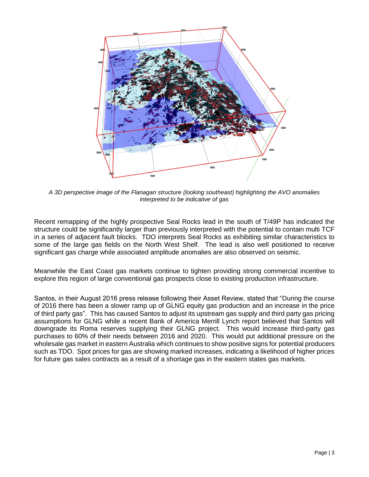

*A 3D perspective image of the Flanagan structure (looking southeast) highlighting the AVO anomalies interpreted to be indicative of gas*

Recent remapping of the highly prospective Seal Rocks lead in the south of T/49P has indicated the structure could be significantly larger than previously interpreted with the potential to contain multi TCF in a series of adjacent fault blocks. TDO interprets Seal Rocks as exhibiting similar characteristics to some of the large gas fields on the North West Shelf. The lead is also well positioned to receive significant gas charge while associated amplitude anomalies are also observed on seismic.

Meanwhile the East Coast gas markets continue to tighten providing strong commercial incentive to explore this region of large conventional gas prospects close to existing production infrastructure.

Santos, in their August 2016 press release following their Asset Review, stated that "During the course of 2016 there has been a slower ramp up of GLNG equity gas production and an increase in the price of third party gas". This has caused Santos to adjust its upstream gas supply and third party gas pricing assumptions for GLNG while a recent Bank of America Merrill Lynch report believed that Santos will downgrade its Roma reserves supplying their GLNG project. This would increase third-party gas purchases to 60% of their needs between 2016 and 2020. This would put additional pressure on the wholesale gas market in eastern Australia which continues to show positive signs for potential producers such as TDO. Spot prices for gas are showing marked increases, indicating a likelihood of higher prices for future gas sales contracts as a result of a shortage gas in the eastern states gas markets.